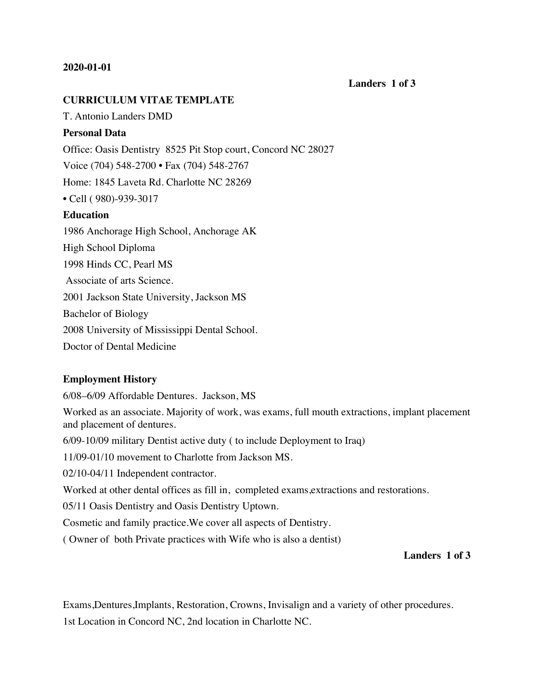## **2020-01-01**

## **Landers 1 of 3**

## **CURRICULUM VITAE TEMPLATE**

T. Antonio Landers DMD

#### **Personal Data**

Office: Oasis Dentistry 8525 Pit Stop court, Concord NC 28027

Voice (704) 548-2700 • Fax (704) 548-2767

Home: 1845 Laveta Rd. Charlotte NC 28269

• Cell ( 980)-939-3017

# **Education**

1986 Anchorage High School, Anchorage AK High School Diploma 1998 Hinds CC, Pearl MS Associate of arts Science. 2001 Jackson State University, Jackson MS Bachelor of Biology 2008 University of Mississippi Dental School. Doctor of Dental Medicine

# **Employment History**

6/08–6/09 Affordable Dentures. Jackson, MS

Worked as an associate. Majority of work, was exams, full mouth extractions, implant placement and placement of dentures.

6/09-10/09 military Dentist active duty ( to include Deployment to Iraq)

11/09-01/10 movement to Charlotte from Jackson MS.

02/10-04/11 Independent contractor.

Worked at other dental offices as fill in, completed exams,extractions and restorations.

05/11 Oasis Dentistry and Oasis Dentistry Uptown.

Cosmetic and family practice.We cover all aspects of Dentistry.

( Owner of both Private practices with Wife who is also a dentist)

#### **Landers 1 of 3**

Exams,Dentures,Implants, Restoration, Crowns, Invisalign and a variety of other procedures. 1st Location in Concord NC, 2nd location in Charlotte NC.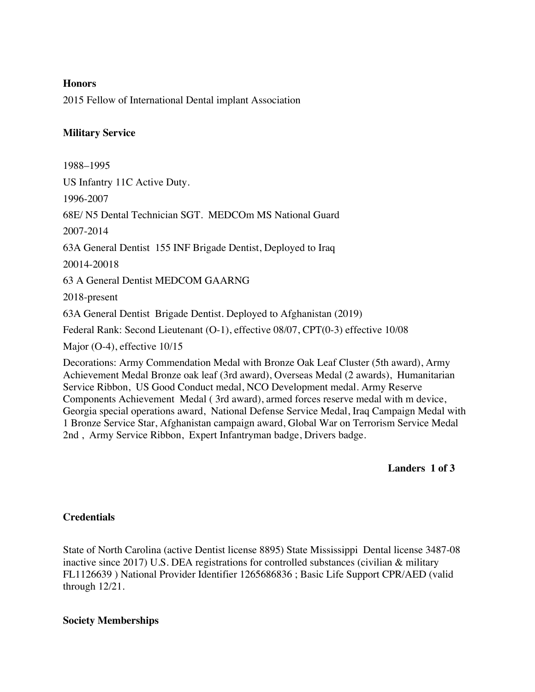# **Honors**

2015 Fellow of International Dental implant Association

# **Military Service**

1988–1995 US Infantry 11C Active Duty. 1996-2007 68E/ N5 Dental Technician SGT. MEDCOm MS National Guard 2007-2014 63A General Dentist 155 INF Brigade Dentist, Deployed to Iraq 20014-20018 63 A General Dentist MEDCOM GAARNG 2018-present 63A General Dentist Brigade Dentist. Deployed to Afghanistan (2019) Federal Rank: Second Lieutenant (O-1), effective 08/07, CPT(0-3) effective 10/08 Major (O-4), effective  $10/15$ 

Decorations: Army Commendation Medal with Bronze Oak Leaf Cluster (5th award), Army Achievement Medal Bronze oak leaf (3rd award), Overseas Medal (2 awards), Humanitarian Service Ribbon, US Good Conduct medal, NCO Development medal. Army Reserve Components Achievement Medal ( 3rd award), armed forces reserve medal with m device, Georgia special operations award, National Defense Service Medal, Iraq Campaign Medal with 1 Bronze Service Star, Afghanistan campaign award, Global War on Terrorism Service Medal 2nd , Army Service Ribbon, Expert Infantryman badge, Drivers badge.

**Landers 1 of 3**

# **Credentials**

State of North Carolina (active Dentist license 8895) State Mississippi Dental license 3487-08 inactive since 2017) U.S. DEA registrations for controlled substances (civilian & military FL1126639 ) National Provider Identifier 1265686836 ; Basic Life Support CPR/AED (valid through 12/21.

# **Society Memberships**